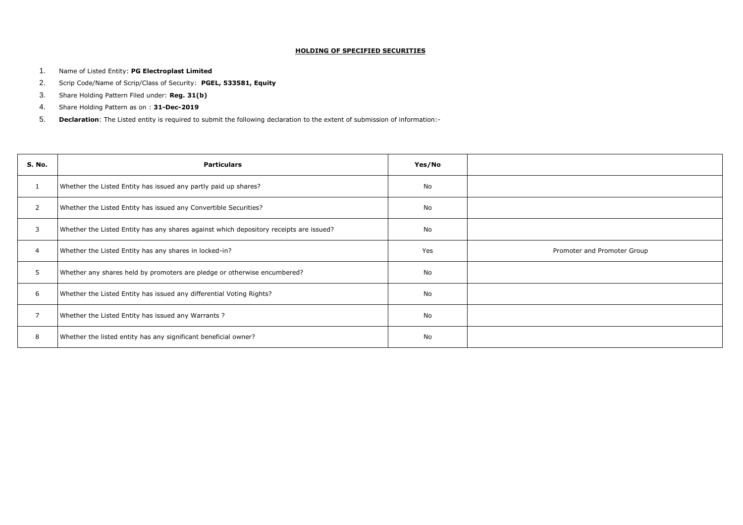## **HOLDING OF SPECIFIED SECURITIES**

- 1. Name of Listed Entity: **PG Electroplast Limited**
- 2. Scrip Code/Name of Scrip/Class of Security: **PGEL, 533581, Equity**
- 3. Share Holding Pattern Filed under: **Reg. 31(b)**
- 4. Share Holding Pattern as on : **31-Dec-2019**
- 5. **Declaration**: The Listed entity is required to submit the following declaration to the extent of submission of information:-

| S. No.         | <b>Particulars</b>                                                                     | Yes/No |     |
|----------------|----------------------------------------------------------------------------------------|--------|-----|
| $\mathbf{1}$   | Whether the Listed Entity has issued any partly paid up shares?                        | No     |     |
| $\overline{2}$ | Whether the Listed Entity has issued any Convertible Securities?                       | No     |     |
| $\mathbf{3}$   | Whether the Listed Entity has any shares against which depository receipts are issued? | No     |     |
| 4              | Whether the Listed Entity has any shares in locked-in?                                 | Yes    | Pro |
| 5              | Whether any shares held by promoters are pledge or otherwise encumbered?               | No     |     |
| 6              | Whether the Listed Entity has issued any differential Voting Rights?                   | No     |     |
| $\overline{7}$ | Whether the Listed Entity has issued any Warrants?                                     | No     |     |
| 8              | Whether the listed entity has any significant beneficial owner?                        | No     |     |

omoter and Promoter Group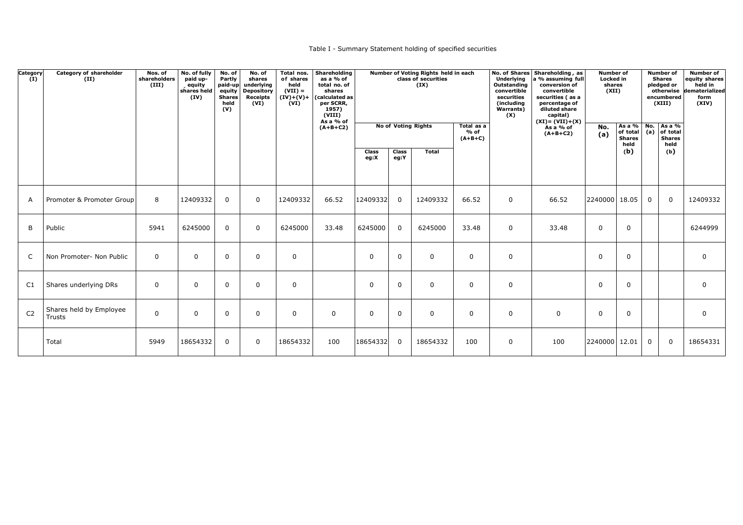## Table I - Summary Statement holding of specified securities

| Category<br>(I) | <b>Category of shareholder</b><br>(II) | Nos. of<br>shareholders<br>(III) | No. of fully<br>paid up-<br>equity<br>shares held<br>(IV) | No. of<br>Partly<br>paid-up<br>equity<br><b>Shares</b><br>held<br>(V) | No. of<br>shares<br>underlying<br><b>Depository</b><br><b>Receipts</b><br>(VI) | Total nos.<br>of shares<br>held<br>$(VII) =$<br>$(IV)+(V)+$<br>(VI) | <b>Shareholding</b><br>as a $%$ of<br>total no. of<br>shares<br>(calculated as<br>per SCRR,<br>1957)<br>(VIII) |                      | Number of Voting Rights held in each<br>class of securities<br>(IX) |                            |                                   |             | <b>Underlying</b><br>Outstanding<br>convertible<br>securities<br>(including<br><b>Warrants)</b><br>(X) | No. of Shares Shareholding, as<br>a % assuming full<br>conversion of<br>convertible<br>securities (as a<br>percentage of<br>diluted share<br>capital) | <b>Number of</b><br><b>Locked in</b><br>shares<br>(XII)        |             |                                 | <b>Number of</b><br><b>Shares</b><br>pledged or<br>otherwise<br>encumbered<br>(XIII) | <b>Number of</b><br>equity shares<br>held in<br>dematerialized<br>form<br>(XIV) |
|-----------------|----------------------------------------|----------------------------------|-----------------------------------------------------------|-----------------------------------------------------------------------|--------------------------------------------------------------------------------|---------------------------------------------------------------------|----------------------------------------------------------------------------------------------------------------|----------------------|---------------------------------------------------------------------|----------------------------|-----------------------------------|-------------|--------------------------------------------------------------------------------------------------------|-------------------------------------------------------------------------------------------------------------------------------------------------------|----------------------------------------------------------------|-------------|---------------------------------|--------------------------------------------------------------------------------------|---------------------------------------------------------------------------------|
|                 |                                        |                                  |                                                           |                                                                       |                                                                                |                                                                     | As a $%$ of<br>$(A+B+C2)$                                                                                      |                      |                                                                     | <b>No of Voting Rights</b> | Total as a<br>$%$ of<br>$(A+B+C)$ |             | $(XI) = (VII) + (X)$<br>As a % of<br>$(A+B+C2)$                                                        | No.<br>(a)                                                                                                                                            | As a % No.<br>of total $(a)$ of total<br><b>Shares</b><br>held |             | As a %<br><b>Shares</b><br>held |                                                                                      |                                                                                 |
|                 |                                        |                                  |                                                           |                                                                       |                                                                                |                                                                     |                                                                                                                | <b>Class</b><br>eg:X | <b>Class</b><br>eg:Y                                                | <b>Total</b>               |                                   |             |                                                                                                        |                                                                                                                                                       | (b)                                                            |             | (b)                             |                                                                                      |                                                                                 |
| $\mathsf{A}$    | Promoter & Promoter Group              | 8                                | 12409332                                                  | $\mathbf 0$                                                           | $\overline{0}$                                                                 | 12409332                                                            | 66.52                                                                                                          | 12409332             | $\overline{0}$                                                      | 12409332                   | 66.52                             | $\mathbf 0$ | 66.52                                                                                                  | 2240000 18.05                                                                                                                                         |                                                                | $\mathbf 0$ | $\overline{0}$                  | 12409332                                                                             |                                                                                 |
| B               | Public                                 | 5941                             | 6245000                                                   | $\mathbf 0$                                                           | $\overline{0}$                                                                 | 6245000                                                             | 33.48                                                                                                          | 6245000              | $\overline{0}$                                                      | 6245000                    | 33.48                             | $\mathbf 0$ | 33.48                                                                                                  | $\Omega$                                                                                                                                              | $\mathbf 0$                                                    |             |                                 | 6244999                                                                              |                                                                                 |
| $\mathsf{C}$    | Non Promoter- Non Public               | $\overline{0}$                   | $\overline{0}$                                            | $\mathbf{0}$                                                          | $\overline{0}$                                                                 | $\mathbf 0$                                                         |                                                                                                                | $\overline{0}$       | $\overline{0}$                                                      | $\mathbf 0$                | 0                                 | $\mathbf 0$ |                                                                                                        | $\Omega$                                                                                                                                              | $\Omega$                                                       |             |                                 | $\overline{0}$                                                                       |                                                                                 |
| C1              | Shares underlying DRs                  | $\mathbf 0$                      | $\overline{0}$                                            | $\mathbf 0$                                                           | $\overline{0}$                                                                 | $\mathbf 0$                                                         |                                                                                                                | $\mathbf 0$          | $\boldsymbol{0}$                                                    | $\mathbf 0$                | $\mathbf 0$                       | $\pmb{0}$   |                                                                                                        | $\Omega$                                                                                                                                              | $\overline{0}$                                                 |             |                                 | $\mathbf 0$                                                                          |                                                                                 |
| C <sub>2</sub>  | Shares held by Employee<br>Trusts      | $\mathbf 0$                      | 0                                                         | $\mathbf{0}$                                                          | $\mathbf 0$                                                                    | $\mathbf 0$                                                         | $\overline{0}$                                                                                                 | $\mathbf 0$          | $\overline{0}$                                                      | $\mathbf 0$                | 0                                 | $\mathbf 0$ | $\mathbf 0$                                                                                            | $\mathbf 0$                                                                                                                                           | $\mathbf 0$                                                    |             |                                 | $\mathbf 0$                                                                          |                                                                                 |
|                 | Total                                  | 5949                             | 18654332                                                  | $\overline{0}$                                                        | $\overline{0}$                                                                 | 18654332                                                            | 100                                                                                                            | 18654332             | $\overline{0}$                                                      | 18654332                   | 100                               | $\mathbf 0$ | 100                                                                                                    | 2240000 12.01                                                                                                                                         |                                                                | $\mathbf 0$ | $\mathbf 0$                     | 18654331                                                                             |                                                                                 |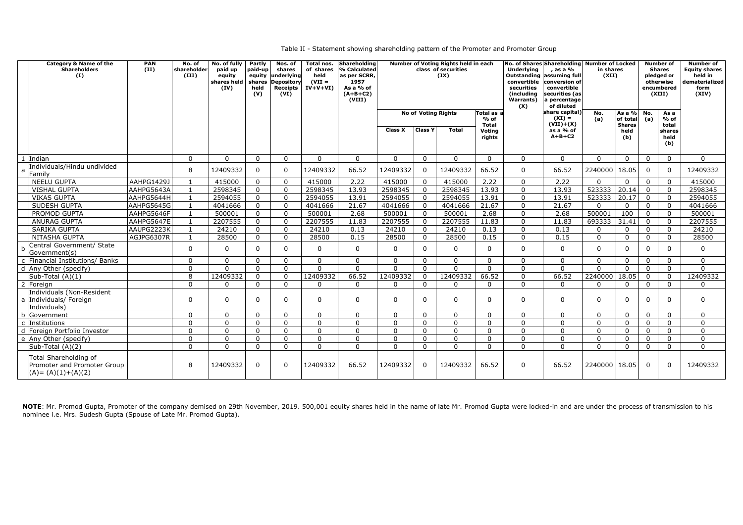Table II - Statement showing shareholding pattern of the Promoter and Promoter Group

| <b>Category &amp; Name of the</b><br><b>Shareholders</b><br>(I)               | <b>PAN</b><br>(II) | No. of<br>shareholder<br>(III) | No. of fully<br>paid up<br>equity<br>shares held<br>(IV) | Partly<br>paid-up<br>equity<br>shares<br>held<br>(V) | Nos. of<br>shares<br>underlying<br><b>Depository</b><br>Receipts<br>(VI) | Total nos.<br>of shares<br>held<br>$(VII =$<br>$IV+V+VI$ | <b>Shareholding</b><br>% Calculated<br>as per SCRR,<br>1957<br>As a % of<br>$(A+B+C2)$<br>(VIII) |                | Number of Voting Rights held in each<br>class of securities<br>(IX) |                            | No. of Shares Shareholding Number of Locked<br><b>Underlying</b><br>, as a %<br>Outstanding assuming full<br>convertible<br>conversion of<br>securities<br>convertible<br>securities (as<br>(including<br><b>Warrants</b> )<br>a percentage<br>of diluted<br>(X) |                |                                           | in shares<br>(XII) |                              |                | <b>Number of</b><br><b>Equity shares</b><br>held in<br>dematerialized<br>form<br>(XIV) |                |
|-------------------------------------------------------------------------------|--------------------|--------------------------------|----------------------------------------------------------|------------------------------------------------------|--------------------------------------------------------------------------|----------------------------------------------------------|--------------------------------------------------------------------------------------------------|----------------|---------------------------------------------------------------------|----------------------------|------------------------------------------------------------------------------------------------------------------------------------------------------------------------------------------------------------------------------------------------------------------|----------------|-------------------------------------------|--------------------|------------------------------|----------------|----------------------------------------------------------------------------------------|----------------|
|                                                                               |                    |                                |                                                          |                                                      |                                                                          |                                                          |                                                                                                  |                |                                                                     | <b>No of Voting Rights</b> | Total as a<br>$%$ of                                                                                                                                                                                                                                             |                | share capital)<br>$(XI) =$<br>$(VII)+(X)$ | No.<br>(a)         | $As a %$ No.<br>of total     | (a)            | As a<br>$%$ of                                                                         |                |
|                                                                               |                    |                                |                                                          |                                                      |                                                                          |                                                          |                                                                                                  | <b>Class X</b> | <b>Class Y</b>                                                      | <b>Total</b>               | <b>Total</b><br>Votina<br>rights                                                                                                                                                                                                                                 |                | as a % of<br>$A+B+C2$                     |                    | <b>Shares</b><br>held<br>(b) |                | total<br>shares<br>held<br>(b)                                                         |                |
| 1 Indian                                                                      |                    | $\mathbf 0$                    | $\mathbf{0}$                                             | $\mathbf{0}$                                         | $\mathbf 0$                                                              | $\overline{0}$                                           | $\overline{0}$                                                                                   | $\overline{0}$ | $\overline{0}$                                                      | $\overline{0}$             | $\overline{0}$                                                                                                                                                                                                                                                   | $\overline{0}$ | $\mathbf{0}$                              | $\mathbf{0}$       | $\overline{0}$               | $\Omega$       | $\Omega$                                                                               | $\mathbf 0$    |
| Individuals/Hindu undivided<br>a<br>Family                                    |                    | 8                              | 12409332                                                 | $\mathbf 0$                                          | $\overline{0}$                                                           | 12409332                                                 | 66.52                                                                                            | 12409332       | $\Omega$                                                            | 12409332                   | 66.52                                                                                                                                                                                                                                                            | $\mathbf 0$    | 66.52                                     | 2240000            | 18.05                        | $\Omega$       | $\Omega$                                                                               | 12409332       |
| <b>NEELU GUPTA</b>                                                            | AAHPG1429J         | $\mathbf{1}$                   | 415000                                                   | $\mathbf 0$                                          | $\mathbf 0$                                                              | 415000                                                   | 2.22                                                                                             | 415000         | $\overline{0}$                                                      | 415000                     | 2.22                                                                                                                                                                                                                                                             | $\overline{0}$ | 2.22                                      | $\mathbf{0}$       | $\mathbf 0$                  | $\Omega$       | $\Omega$                                                                               | 415000         |
| <b>VISHAL GUPTA</b>                                                           | AAHPG5643A         | $\mathbf{1}$                   | 2598345                                                  | $\overline{0}$                                       | $\overline{0}$                                                           | 2598345                                                  | 13.93                                                                                            | 2598345        | $\overline{0}$                                                      | 2598345                    | 13.93                                                                                                                                                                                                                                                            | $\overline{0}$ | 13.93                                     | 523333             | 20.14                        | $\overline{0}$ | $\Omega$                                                                               | 2598345        |
| <b>VIKAS GUPTA</b>                                                            | AAHPG5644H         | $\mathbf{1}$                   | 2594055                                                  | $\mathbf 0$                                          | $\overline{0}$                                                           | 2594055                                                  | 13.91                                                                                            | 2594055        | $\overline{0}$                                                      | 2594055                    | 13.91                                                                                                                                                                                                                                                            | $\overline{0}$ | 13.91                                     | 523333             | 20.17                        | $\overline{0}$ | $\Omega$                                                                               | 2594055        |
| SUDESH GUPTA                                                                  | AAHPG5645G         | 1                              | 4041666                                                  | $\overline{0}$                                       | $\mathbf 0$                                                              | 4041666                                                  | 21.67                                                                                            | 4041666        | $\mathbf 0$                                                         | 4041666                    | 21.67                                                                                                                                                                                                                                                            | $\mathbf 0$    | 21.67                                     | $\overline{0}$     | $\mathbf 0$                  | $\Omega$       | $\Omega$                                                                               | 4041666        |
| PROMOD GUPTA                                                                  | AAHPG5646F         | $\mathbf{1}$                   | 500001                                                   | $\overline{0}$                                       | $\overline{0}$                                                           | 500001                                                   | 2.68                                                                                             | 500001         | $\overline{0}$                                                      | 500001                     | 2.68                                                                                                                                                                                                                                                             | $\overline{0}$ | 2.68                                      | 500001             | 100                          | $\overline{0}$ | $\Omega$                                                                               | 500001         |
| <b>ANURAG GUPTA</b>                                                           | AAHPG5647E         | $\mathbf{1}$                   | 2207555                                                  | $\overline{0}$                                       | $\overline{0}$                                                           | 2207555                                                  | 11.83                                                                                            | 2207555        | $\mathbf 0$                                                         | 2207555                    | 11.83                                                                                                                                                                                                                                                            | $\overline{0}$ | 11.83                                     | 693333             | 31.41                        | $\overline{0}$ | $\Omega$                                                                               | 2207555        |
| SARIKA GUPTA                                                                  | AAUPG2223K         | $\mathbf{1}$                   | 24210                                                    | $\Omega$                                             | $\mathbf 0$                                                              | 24210                                                    | 0.13                                                                                             | 24210          | $\mathbf 0$                                                         | 24210                      | 0.13                                                                                                                                                                                                                                                             | $\overline{0}$ | 0.13                                      | $\mathbf 0$        | $\mathbf 0$                  | $\overline{0}$ | $\Omega$                                                                               | 24210          |
| NITASHA GUPTA                                                                 | AGJPG6307R         | $\mathbf{1}$                   | 28500                                                    | $\overline{0}$                                       | $\overline{0}$                                                           | 28500                                                    | 0.15                                                                                             | 28500          | $\overline{0}$                                                      | 28500                      | 0.15                                                                                                                                                                                                                                                             | $\overline{0}$ | 0.15                                      | $\overline{0}$     | $\overline{0}$               | $\mathbf 0$    | $\Omega$                                                                               | 28500          |
| Central Government/ State<br>Government(s)                                    |                    | $\mathbf 0$                    | 0                                                        | $\mathbf 0$                                          | $\mathbf 0$                                                              | $\Omega$                                                 | $\mathbf{0}$                                                                                     | $\Omega$       | $\mathbf{0}$                                                        | $\mathbf 0$                | 0                                                                                                                                                                                                                                                                | $\mathbf 0$    | $\mathbf 0$                               | $\overline{0}$     | $\overline{0}$               |                |                                                                                        | $\mathbf 0$    |
| c Financial Institutions/ Banks                                               |                    | $\mathbf 0$                    | $\Omega$                                                 | $\Omega$                                             | $\overline{0}$                                                           | $\Omega$                                                 | $\Omega$                                                                                         | $\Omega$       | $\overline{0}$                                                      | $\overline{0}$             | $\Omega$                                                                                                                                                                                                                                                         | $\mathbf 0$    | $\Omega$                                  | $\Omega$           | $\mathbf 0$                  | $\Omega$       | $\Omega$                                                                               | $\mathbf 0$    |
| d Any Other (specify)                                                         |                    | $\mathbf 0$                    | $\overline{0}$                                           | $\Omega$                                             | $\mathbf 0$                                                              | $\mathbf{0}$                                             | $\mathbf{0}$                                                                                     | $\overline{0}$ | $\mathbf{0}$                                                        | $\overline{0}$             | $\mathbf 0$                                                                                                                                                                                                                                                      | $\overline{0}$ | $\mathbf{0}$                              | $\mathbf{0}$       | $\mathbf 0$                  | $\mathbf 0$    | $\Omega$                                                                               | $\mathbf 0$    |
| Sub-Total (A)(1)                                                              |                    | 8                              | 12409332                                                 | $\mathbf 0$                                          | $\mathbf 0$                                                              | 12409332                                                 | 66.52                                                                                            | 12409332       | $\Omega$                                                            | 12409332                   | 66.52                                                                                                                                                                                                                                                            | $\mathbf 0$    | 66.52                                     | 2240000            | 18.05                        | $\Omega$       | $\Omega$                                                                               | 12409332       |
| 2 Foreign                                                                     |                    | $\Omega$                       | $\Omega$                                                 | $\Omega$                                             | $\overline{0}$                                                           | <sup>n</sup>                                             | $\Omega$                                                                                         | $\Omega$       | $\overline{0}$                                                      | $\Omega$                   | $\Omega$                                                                                                                                                                                                                                                         | $\Omega$       | $\Omega$                                  | $\Omega$           | $\mathbf 0$                  | $\Omega$       | $\Omega$                                                                               | $\overline{0}$ |
| Individuals (Non-Resident<br>a Individuals/ Foreign<br>Individuals)           |                    | $\mathbf 0$                    | 0                                                        | $\overline{0}$                                       | $\mathbf 0$                                                              | $\mathbf{0}$                                             | $\mathbf{0}$                                                                                     | $\Omega$       | $\mathbf{0}$                                                        | $\mathbf 0$                | $\Omega$                                                                                                                                                                                                                                                         | $\mathbf 0$    | $\mathbf 0$                               | $\overline{0}$     | $\overline{0}$               | <sup>0</sup>   | $\Omega$                                                                               | $\mathbf 0$    |
| b Government                                                                  |                    | $\mathbf 0$                    | $\Omega$                                                 | $\Omega$                                             | $\mathbf 0$                                                              | $\mathbf{0}$                                             | $\overline{0}$                                                                                   | $\mathbf{0}$   | $\mathbf 0$                                                         | $\mathbf 0$                | $\Omega$                                                                                                                                                                                                                                                         | $\mathbf 0$    | $\mathbf{0}$                              | $\mathbf{0}$       | $\mathbf 0$                  | $\Omega$       | $\Omega$                                                                               | $\overline{0}$ |
| c Institutions                                                                |                    | $\mathbf 0$                    | $\overline{0}$                                           | $\mathbf{0}$                                         | $\mathbf 0$                                                              | $\mathbf{0}$                                             | $\mathbf 0$                                                                                      | $\Omega$       | $\overline{0}$                                                      | $\mathbf 0$                | $\overline{0}$                                                                                                                                                                                                                                                   | $\mathbf 0$    | $\mathbf{0}$                              | $\overline{0}$     | $\mathbf 0$                  | $\overline{0}$ | $\Omega$                                                                               | $\mathbf 0$    |
| d Foreign Portfolio Investor                                                  |                    | $\mathbf 0$                    | $\Omega$                                                 | $\mathbf{0}$                                         | $\mathbf 0$                                                              | $\overline{0}$                                           | $\mathbf 0$                                                                                      | $\Omega$       | $\mathbf{0}$                                                        | $\overline{0}$             | $\overline{0}$                                                                                                                                                                                                                                                   | $\overline{0}$ | $\mathbf{0}$                              | $\overline{0}$     | $\overline{0}$               | $\mathbf{0}$   | $\Omega$                                                                               | $\mathbf 0$    |
| e Any Other (specify)                                                         |                    | $\mathbf 0$                    | 0                                                        | $\mathbf{0}$                                         | $\mathbf 0$                                                              | $\overline{0}$                                           | $\mathbf 0$                                                                                      | $\mathbf 0$    | $\mathbf 0$                                                         | $\mathbf 0$                | $\Omega$                                                                                                                                                                                                                                                         | $\mathbf 0$    | $\mathbf{0}$                              | $\overline{0}$     | $\mathbf 0$                  | $\Omega$       | $\Omega$                                                                               | $\mathbf 0$    |
| Sub-Total (A)(2)                                                              |                    | $\mathbf 0$                    | $\overline{0}$                                           | $\mathbf{0}$                                         | $\mathbf 0$                                                              | $\Omega$                                                 | $\mathbf{0}$                                                                                     | $\Omega$       | $\overline{0}$                                                      | $\mathbf 0$                | $\overline{0}$                                                                                                                                                                                                                                                   | $\mathbf 0$    | $\mathbf{0}$                              | $\overline{0}$     | $\overline{0}$               | $\Omega$       | $\Omega$                                                                               | $\overline{0}$ |
| Total Shareholding of<br>Promoter and Promoter Group<br>$(A) = (A)(1)+(A)(2)$ |                    | 8                              | 12409332                                                 | $\mathbf 0$                                          | $\mathbf 0$                                                              | 12409332                                                 | 66.52                                                                                            | 12409332       | 0                                                                   | 12409332                   | 66.52                                                                                                                                                                                                                                                            | $\mathbf 0$    | 66.52                                     | 2240000 18.05      |                              | $\Omega$       | $\Omega$                                                                               | 12409332       |

NOTE: Mr. Promod Gupta, Promoter of the company demised on 29th November, 2019. 500,001 equity shares held in the name of late Mr. Promod Gupta were locked-in and are under the process of transmission to his nominee i.e. Mrs. Sudesh Gupta (Spouse of Late Mr. Promod Gupta).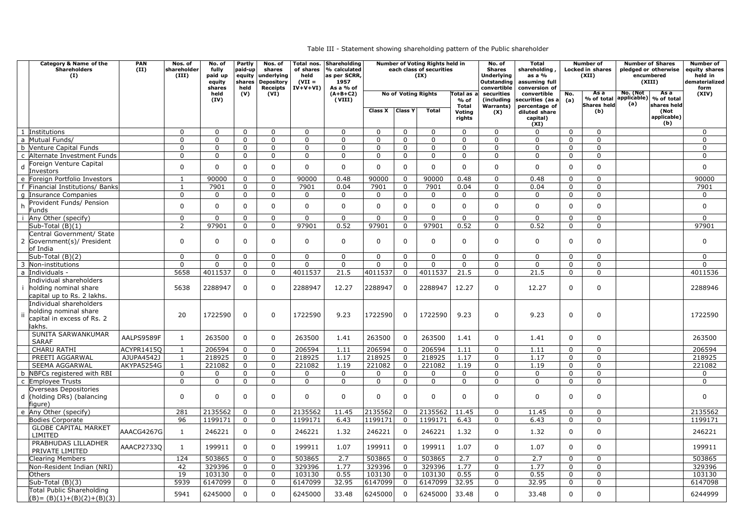Table III - Statement showing shareholding pattern of the Public shareholder

| <b>Category &amp; Name of the</b><br><b>Shareholders</b><br>(I) | <b>PAN</b><br>(II) | Nos. of<br>shareholder<br>(III)  | No. of<br>fully<br>paid up<br>equity<br>shares | Partly<br>paid-up<br>shares<br>held | Nos. of<br>shares<br>equity underlying<br><b>Depository</b><br><b>Receipts</b> | Total nos.<br>of shares<br>held<br>$(VII =$<br>$IV+V+VI$ | Shareholding<br>% calculated<br>as per SCRR,<br>1957<br>As a % of |                               |                            | <b>Number of Voting Rights held in</b><br>each class of securities<br>(IX) |                            | No. of<br><b>Shares</b><br><b>Underlying</b><br><b>Outstanding</b><br>convertible | <b>Total</b><br>shareholding<br>as a $%$<br>assuming full<br>conversion of |                               | <b>Number</b> of<br>Locked in shares<br>(XII) | <b>Number of Shares</b><br>pledged or otherwise<br>encumbered<br>(XIII) |                     | <b>Number of</b><br>equity shares<br>held in<br>dematerialized<br>form |
|-----------------------------------------------------------------|--------------------|----------------------------------|------------------------------------------------|-------------------------------------|--------------------------------------------------------------------------------|----------------------------------------------------------|-------------------------------------------------------------------|-------------------------------|----------------------------|----------------------------------------------------------------------------|----------------------------|-----------------------------------------------------------------------------------|----------------------------------------------------------------------------|-------------------------------|-----------------------------------------------|-------------------------------------------------------------------------|---------------------|------------------------------------------------------------------------|
|                                                                 |                    |                                  | held<br>(IV)                                   | (V)                                 | (VI)                                                                           |                                                          | $(A+B+C2)$<br>(VIII)                                              |                               |                            | <b>No of Voting Rights</b>                                                 | Total as<br>% of           | securities<br>(including)                                                         | convertible<br>securities (as a                                            | No.<br>(a)                    | As a<br>% of total                            | No. (Not<br>applicable)   % of total                                    | As a                | (XIV)                                                                  |
|                                                                 |                    |                                  |                                                |                                     |                                                                                |                                                          |                                                                   |                               |                            |                                                                            | <b>Total</b>               | <b>Warrants</b> )                                                                 | percentage of                                                              |                               | <b>Shares held</b>                            | (a)                                                                     | shares held         |                                                                        |
|                                                                 |                    |                                  |                                                |                                     |                                                                                |                                                          |                                                                   | Class X                       | <b>Class Y</b>             | Total                                                                      | <b>Voting</b><br>rights    | (X)                                                                               | diluted share<br>capital)                                                  |                               | (b)                                           |                                                                         | (Not<br>applicable) |                                                                        |
|                                                                 |                    |                                  |                                                |                                     |                                                                                |                                                          |                                                                   |                               |                            |                                                                            |                            |                                                                                   | (XI)                                                                       |                               |                                               |                                                                         | (b)                 |                                                                        |
| 1 Institutions                                                  |                    | $\mathbf 0$                      | $\mathbf{0}$                                   | $\overline{0}$                      | $\Omega$                                                                       | $\mathbf 0$                                              | $\mathbf 0$                                                       | $\mathbf 0$                   | $\mathbf 0$                | $\Omega$                                                                   | $\overline{0}$             | $\mathbf 0$                                                                       | $\Omega$                                                                   | $\overline{0}$                | $\mathbf 0$                                   |                                                                         |                     | $\mathbf 0$                                                            |
| a Mutual Funds/                                                 |                    | $\mathbf 0$                      | $\Omega$                                       | $\overline{0}$                      | $\Omega$<br>$\Omega$                                                           | $\mathbf 0$                                              | $\mathbf 0$                                                       | $\mathbf 0$                   | $\mathbf 0$                | $\Omega$                                                                   | $\mathbf 0$                | $\mathbf 0$                                                                       | $\Omega$                                                                   | $\mathbf{0}$                  | $\mathbf 0$                                   |                                                                         |                     | $\mathbf 0$                                                            |
| b Venture Capital Funds<br>c Alternate Investment Funds         |                    | $\overline{0}$<br>$\mathbf 0$    | $\mathbf{0}$<br>$\Omega$                       | $\mathbf 0$<br>$\mathbf{0}$         | $\Omega$                                                                       | $\mathbf 0$<br>$\mathbf 0$                               | $\mathbf 0$<br>$\mathbf 0$                                        | $\overline{0}$<br>$\mathbf 0$ | $\mathbf 0$<br>$\mathbf 0$ | $\overline{0}$<br>$\Omega$                                                 | $\mathbf 0$<br>$\mathbf 0$ | $\mathbf 0$<br>$\mathbf 0$                                                        | $\overline{0}$<br>$\Omega$                                                 | $\overline{0}$<br>$\mathbf 0$ | $\mathbf 0$<br>$\mathbf 0$                    |                                                                         |                     | $\mathbf 0$<br>$\mathbf 0$                                             |
| Foreign Venture Capital                                         |                    |                                  |                                                |                                     |                                                                                |                                                          |                                                                   |                               |                            |                                                                            |                            |                                                                                   |                                                                            |                               |                                               |                                                                         |                     |                                                                        |
| Investors                                                       |                    | $\mathbf 0$                      | $\Omega$                                       | $\Omega$                            | 0                                                                              | $\mathbf 0$                                              | $\mathbf 0$                                                       | 0                             | $\Omega$                   | $\mathbf{0}$                                                               | $\mathbf 0$                | $\mathbf 0$                                                                       | $\mathbf 0$                                                                | $\mathbf 0$                   | $\mathbf 0$                                   |                                                                         |                     | $\mathbf 0$                                                            |
| e Foreign Portfolio Investors                                   |                    |                                  | 90000                                          | $\mathbf 0$                         | $\Omega$                                                                       | 90000                                                    | 0.48                                                              | 90000                         | $\Omega$                   | 90000                                                                      | 0.48                       | $\mathbf 0$                                                                       | 0.48                                                                       | $\mathbf 0$                   | $\mathbf 0$                                   |                                                                         |                     | 90000                                                                  |
| Financial Institutions/ Banks                                   |                    |                                  | 7901                                           | $\mathbf 0$                         |                                                                                | 7901                                                     | 0.04                                                              | 7901                          | 0                          | 7901                                                                       | 0.04                       | $\mathbf 0$                                                                       | 0.04                                                                       | $\mathbf 0$                   | $\mathbf 0$                                   |                                                                         |                     | 7901                                                                   |
| Insurance Companies                                             |                    | $\mathbf 0$                      | $\Omega$                                       | $\mathbf{0}$                        | $\Omega$                                                                       | $\mathbf 0$                                              | $\mathbf 0$                                                       | 0                             | $\mathbf{0}$               | $\mathbf 0$                                                                | $\mathbf 0$                | $\mathbf 0$                                                                       | $\mathbf{0}$                                                               | $\mathbf 0$                   | $\mathbf 0$                                   |                                                                         |                     | $\mathbf 0$                                                            |
| Provident Funds/ Pension                                        |                    | $\mathbf 0$                      | $\Omega$                                       | $\Omega$                            |                                                                                | $\mathbf 0$                                              | $\mathbf 0$                                                       | 0                             | $\Omega$                   | $\Omega$                                                                   | $\mathbf 0$                | $\mathbf 0$                                                                       | $\mathbf{0}$                                                               | $\mathbf 0$                   | $\mathbf 0$                                   |                                                                         |                     | $\mathbf 0$                                                            |
| Funds                                                           |                    |                                  |                                                |                                     |                                                                                |                                                          |                                                                   |                               |                            |                                                                            |                            |                                                                                   |                                                                            |                               |                                               |                                                                         |                     |                                                                        |
| Any Other (specify)<br>Sub-Total (B)(1)                         |                    | $\overline{0}$<br>$\overline{2}$ | $\Omega$<br>97901                              | $\mathbf 0$<br>$\overline{0}$       | $\Omega$<br>$\Omega$                                                           | $\Omega$<br>97901                                        | $\mathbf 0$<br>0.52                                               | 0<br>97901                    | $\mathbf{0}$<br>$\Omega$   | $\mathbf{0}$<br>97901                                                      | $\overline{0}$<br>0.52     | $\mathbf 0$<br>$\mathbf 0$                                                        | $\overline{0}$<br>0.52                                                     | $\mathbf 0$<br>$\mathbf 0$    | $\mathbf 0$<br>$\mathbf 0$                    |                                                                         |                     | $\overline{0}$<br>97901                                                |
| Central Government/ State                                       |                    |                                  |                                                |                                     |                                                                                |                                                          |                                                                   |                               |                            |                                                                            |                            |                                                                                   |                                                                            |                               |                                               |                                                                         |                     |                                                                        |
| 2 Government(s)/ President<br>of India                          |                    | $\mathbf 0$                      | $\Omega$                                       | $\Omega$                            | <sup>0</sup>                                                                   | $\mathbf 0$                                              | $\mathbf 0$                                                       | $\mathbf{0}$                  | $\Omega$                   | $\Omega$                                                                   | $\Omega$                   | $\mathbf 0$                                                                       | $\mathbf{0}$                                                               | $\mathbf 0$                   | $\mathbf 0$                                   |                                                                         |                     | $\Omega$                                                               |
| Sub-Total (B)(2)                                                |                    | $\mathbf 0$                      | $\overline{0}$                                 | $\mathbf 0$                         | $\Omega$                                                                       | $\mathbf 0$                                              | $\overline{0}$                                                    | $\overline{0}$                | $\mathbf{0}$               | $\overline{0}$                                                             | $\mathbf 0$                | $\mathbf 0$                                                                       | $\overline{0}$                                                             | $\mathbf 0$                   | $\mathbf 0$                                   |                                                                         |                     | $\mathbf 0$                                                            |
| 3 Non-institutions                                              |                    | $\mathbf 0$                      | $\Omega$                                       | $\mathbf 0$                         | $\Omega$                                                                       | $\mathbf 0$                                              | $\mathbf 0$                                                       | $\overline{0}$                | $\mathbf 0$                | $\overline{0}$                                                             | $\mathbf 0$                | $\mathbf 0$                                                                       | $\overline{0}$                                                             | $\mathbf 0$                   | 0                                             |                                                                         |                     | $\mathbf{0}$                                                           |
| a Individuals -                                                 |                    | 5658                             | 4011537                                        | $\overline{0}$                      | $\Omega$                                                                       | 4011537                                                  | 21.5                                                              | 4011537                       |                            | 4011537                                                                    | 21.5                       | $\overline{0}$                                                                    | 21.5                                                                       | $\mathbf 0$                   | $\mathbf 0$                                   |                                                                         |                     | 4011536                                                                |
| Individual shareholders<br>holding nominal share                |                    | 5638                             | 2288947                                        | $\Omega$                            | $\Omega$                                                                       | 2288947                                                  | 12.27                                                             | 2288947                       |                            | 2288947                                                                    | 12.27                      | $\mathbf 0$                                                                       | 12.27                                                                      | $\mathbf 0$                   | 0                                             |                                                                         |                     | 2288946                                                                |
| capital up to Rs. 2 lakhs.                                      |                    |                                  |                                                |                                     |                                                                                |                                                          |                                                                   |                               |                            |                                                                            |                            |                                                                                   |                                                                            |                               |                                               |                                                                         |                     |                                                                        |
| Individual shareholders                                         |                    |                                  |                                                |                                     |                                                                                |                                                          |                                                                   |                               |                            |                                                                            |                            |                                                                                   |                                                                            |                               |                                               |                                                                         |                     |                                                                        |
| holding nominal share                                           |                    | 20                               | 1722590                                        | $\overline{0}$                      | $\Omega$                                                                       | 1722590                                                  | 9.23                                                              | 1722590                       |                            | 1722590                                                                    | 9.23                       | 0                                                                                 | 9.23                                                                       | $\mathbf 0$                   | 0                                             |                                                                         |                     | 1722590                                                                |
| capital in excess of Rs. 2                                      |                    |                                  |                                                |                                     |                                                                                |                                                          |                                                                   |                               |                            |                                                                            |                            |                                                                                   |                                                                            |                               |                                               |                                                                         |                     |                                                                        |
| lakhs.<br>SUNITA SARWANKUMAR                                    |                    |                                  |                                                |                                     |                                                                                |                                                          |                                                                   |                               |                            |                                                                            |                            |                                                                                   |                                                                            |                               |                                               |                                                                         |                     |                                                                        |
| <b>SARAF</b>                                                    | AALPS9589F         |                                  | 263500                                         | $\Omega$                            | $\Omega$                                                                       | 263500                                                   | 1.41                                                              | 263500                        | $\Omega$                   | 263500                                                                     | 1.41                       | 0                                                                                 | 1.41                                                                       | $\Omega$                      | $\Omega$                                      |                                                                         |                     | 263500                                                                 |
| <b>CHARU RATHI</b>                                              | ACYPR1415Q         |                                  | 206594                                         | $\overline{0}$                      | $\Omega$                                                                       | 206594                                                   | 1.11                                                              | 206594                        |                            | 206594                                                                     | 1.11                       | $\mathbf 0$                                                                       | 1.11                                                                       | $\mathbf 0$                   | $\mathbf{0}$                                  |                                                                         |                     | 206594                                                                 |
| PREETI AGGARWAL                                                 | AJUPA4542J         | $\mathbf{1}$                     | 218925                                         | $\mathbf 0$                         | $\Omega$                                                                       | 218925                                                   | 1.17                                                              | 218925                        |                            | 218925                                                                     | 1.17                       | $\mathbf 0$                                                                       | 1.17                                                                       | $\mathbf 0$                   | $\mathbf 0$                                   |                                                                         |                     | 218925                                                                 |
| SEEMA AGGARWAL                                                  | AKYPA5254G         |                                  | 221082                                         | $\overline{0}$                      | $\Omega$                                                                       | 221082                                                   | 1.19                                                              | 221082                        | $\Omega$                   | 221082                                                                     | 1.19                       | $\mathbf 0$                                                                       | 1.19                                                                       | $\overline{0}$                | $\mathbf 0$                                   |                                                                         |                     | 221082                                                                 |
| b NBFCs registered with RBI                                     |                    | $\mathbf 0$                      | $\Omega$                                       | $\mathbf 0$                         | $\Omega$                                                                       | 0                                                        | $\mathbf 0$                                                       | 0                             | $\mathbf 0$                | 0                                                                          | $\overline{0}$             | $\mathbf 0$                                                                       | $\mathbf 0$                                                                | $\mathbf 0$                   | $\mathbf 0$                                   |                                                                         |                     | $\mathbf 0$                                                            |
| c Employee Trusts                                               |                    | $\mathbf 0$                      | $\overline{0}$                                 | $\overline{0}$                      | 0                                                                              | $\mathbf 0$                                              | $\mathbf 0$                                                       | $\overline{0}$                | $\mathbf 0$                | $\overline{0}$                                                             | $\overline{0}$             | $\overline{0}$                                                                    | $\overline{0}$                                                             | $\mathbf 0$                   | $\mathbf 0$                                   |                                                                         |                     | $\mathbf 0$                                                            |
| Overseas Depositories<br>d (holding DRs) (balancing             |                    | $\mathbf 0$                      | $\Omega$                                       | $\Omega$                            | 0                                                                              | $\mathbf 0$                                              | $\mathbf 0$                                                       | $\mathbf{0}$                  | $\Omega$                   | $\Omega$                                                                   | $\mathbf 0$                | $\mathbf 0$                                                                       | $\mathbf 0$                                                                | $\mathbf 0$                   | $\mathbf 0$                                   |                                                                         |                     | $\mathbf 0$                                                            |
| figure)                                                         |                    |                                  |                                                |                                     |                                                                                |                                                          |                                                                   |                               |                            |                                                                            |                            |                                                                                   |                                                                            |                               |                                               |                                                                         |                     |                                                                        |
| e Any Other (specify)                                           |                    | 281                              | 2135562                                        | $\overline{0}$                      |                                                                                | 2135562                                                  | 11.45                                                             | 2135562                       |                            | 2135562                                                                    | 11.45                      | $\mathbf 0$                                                                       | 11.45                                                                      | $\overline{0}$                | $\overline{0}$                                |                                                                         |                     | 2135562                                                                |
| Bodies Corporate                                                |                    | 96                               | 1199171                                        | $\overline{0}$                      | $\overline{0}$                                                                 | 1199171                                                  | 6.43                                                              | 1199171                       | $\overline{0}$             | 1199171                                                                    | 6.43                       | $\mathbf 0$                                                                       | 6.43                                                                       | $\mathbf 0$                   | $\mathbf 0$                                   |                                                                         |                     | 1199171                                                                |
| <b>GLOBE CAPITAL MARKET</b><br>LIMITED                          | AAACG4267G         | $\mathbf{1}$                     | 246221                                         | $\overline{0}$                      | $\overline{0}$                                                                 | 246221                                                   | 1.32                                                              | 246221                        | $\Omega$                   | 246221                                                                     | 1.32                       | 0                                                                                 | 1.32                                                                       | $\mathbf 0$                   | 0                                             |                                                                         |                     | 246221                                                                 |
| PRABHUDAS LILLADHER<br>PRIVATE LIMITED                          | AAACP2733Q         | $\mathbf{1}$                     | 199911                                         | $\Omega$                            | $\mathbf{0}$                                                                   | 199911                                                   | 1.07                                                              | 199911                        | $\Omega$                   | 199911                                                                     | 1.07                       | $\mathbf 0$                                                                       | 1.07                                                                       | $\mathbf{0}$                  | $\mathbf 0$                                   |                                                                         |                     | 199911                                                                 |
| <b>Clearing Members</b>                                         |                    | 124                              | 503865                                         | $\overline{0}$                      | $\Omega$                                                                       | 503865                                                   | 2.7                                                               | 503865                        |                            | 503865                                                                     | 2.7                        | $\mathbf 0$                                                                       | 2.7                                                                        | $\overline{0}$                | $\overline{0}$                                |                                                                         |                     | 503865                                                                 |
| Non-Resident Indian (NRI)                                       |                    | 42                               | 329396                                         | $\overline{0}$                      | $\Omega$                                                                       | 329396                                                   | 1.77                                                              | 329396                        |                            | 329396                                                                     | 1.77                       | $\mathbf 0$                                                                       | 1.77                                                                       | $\mathbf 0$                   | $\overline{0}$                                |                                                                         |                     | 329396                                                                 |
| <b>Others</b>                                                   |                    | 19                               | 103130                                         | $\overline{0}$                      |                                                                                | 103130                                                   | 0.55                                                              | 103130                        |                            | 103130                                                                     | 0.55                       | $\mathbf 0$                                                                       | 0.55                                                                       | $\mathbf 0$                   | $\mathbf 0$                                   |                                                                         |                     | 103130                                                                 |
| Sub-Total (B)(3)                                                |                    | 5939                             | 6147099                                        | $\overline{0}$                      | $\Omega$                                                                       | 6147099                                                  | 32.95                                                             | 6147099                       |                            | 6147099                                                                    | 32.95                      | $\mathbf 0$                                                                       | 32.95                                                                      | $\overline{0}$                | $\mathbf 0$                                   |                                                                         |                     | 6147098                                                                |
| Total Public Shareholding<br>$(B) = (B)(1)+(B)(2)+(B)(3)$       |                    | 5941                             | 6245000                                        | $\Omega$                            | $\Omega$                                                                       | 6245000                                                  | 33.48                                                             | 6245000                       |                            | 6245000                                                                    | 33.48                      | 0                                                                                 | 33.48                                                                      | $\mathbf 0$                   | 0                                             |                                                                         |                     | 6244999                                                                |